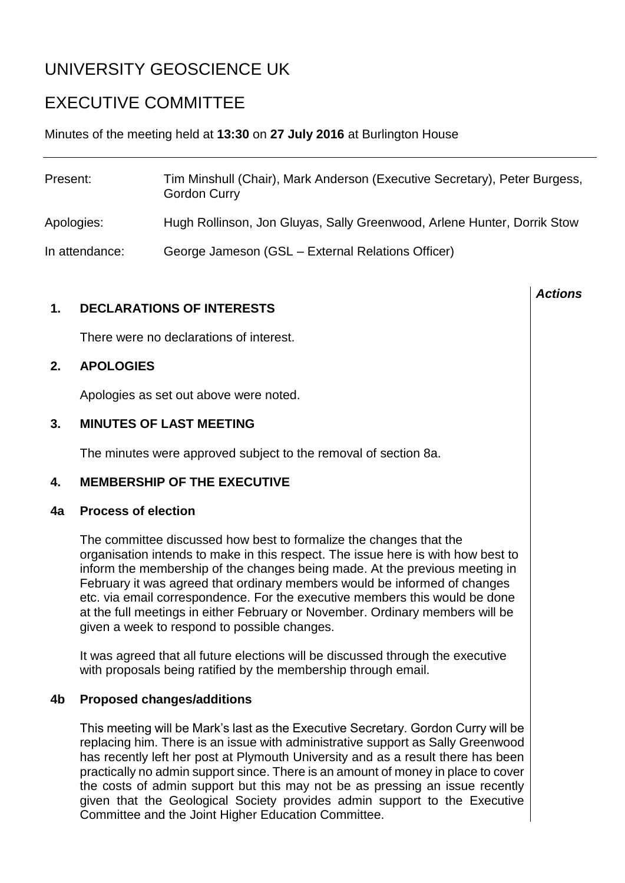# UNIVERSITY GEOSCIENCE UK

## EXECUTIVE COMMITTEE

Minutes of the meeting held at **13:30** on **27 July 2016** at Burlington House

| Present:       | Tim Minshull (Chair), Mark Anderson (Executive Secretary), Peter Burgess,<br><b>Gordon Curry</b> |
|----------------|--------------------------------------------------------------------------------------------------|
| Apologies:     | Hugh Rollinson, Jon Gluyas, Sally Greenwood, Arlene Hunter, Dorrik Stow                          |
| In attendance: | George Jameson (GSL - External Relations Officer)                                                |

*Actions*

#### **1. DECLARATIONS OF INTERESTS**

There were no declarations of interest.

### **2. APOLOGIES**

Apologies as set out above were noted.

### **3. MINUTES OF LAST MEETING**

The minutes were approved subject to the removal of section 8a.

#### **4. MEMBERSHIP OF THE EXECUTIVE**

#### **4a Process of election**

The committee discussed how best to formalize the changes that the organisation intends to make in this respect. The issue here is with how best to inform the membership of the changes being made. At the previous meeting in February it was agreed that ordinary members would be informed of changes etc. via email correspondence. For the executive members this would be done at the full meetings in either February or November. Ordinary members will be given a week to respond to possible changes.

It was agreed that all future elections will be discussed through the executive with proposals being ratified by the membership through email.

#### **4b Proposed changes/additions**

This meeting will be Mark's last as the Executive Secretary. Gordon Curry will be replacing him. There is an issue with administrative support as Sally Greenwood has recently left her post at Plymouth University and as a result there has been practically no admin support since. There is an amount of money in place to cover the costs of admin support but this may not be as pressing an issue recently given that the Geological Society provides admin support to the Executive Committee and the Joint Higher Education Committee.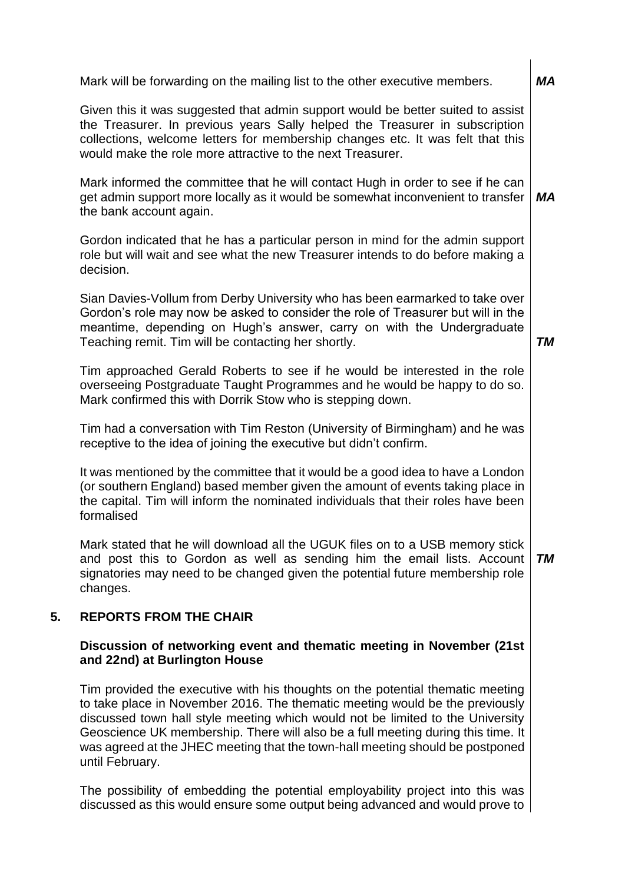| МA        |
|-----------|
|           |
| МA        |
|           |
| <b>TM</b> |
|           |
|           |
|           |
| <b>TM</b> |
|           |

#### **5. REPORTS FROM THE CHAIR**

#### **Discussion of networking event and thematic meeting in November (21st and 22nd) at Burlington House**

Tim provided the executive with his thoughts on the potential thematic meeting to take place in November 2016. The thematic meeting would be the previously discussed town hall style meeting which would not be limited to the University Geoscience UK membership. There will also be a full meeting during this time. It was agreed at the JHEC meeting that the town-hall meeting should be postponed until February.

The possibility of embedding the potential employability project into this was discussed as this would ensure some output being advanced and would prove to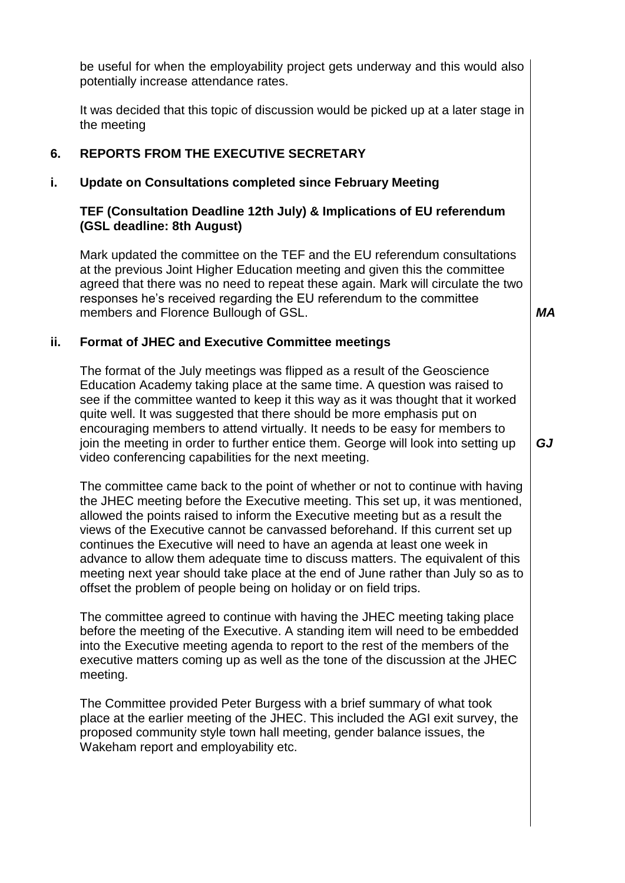be useful for when the employability project gets underway and this would also potentially increase attendance rates.

It was decided that this topic of discussion would be picked up at a later stage in the meeting

#### **6. REPORTS FROM THE EXECUTIVE SECRETARY**

#### **i. Update on Consultations completed since February Meeting**

#### **TEF (Consultation Deadline 12th July) & Implications of EU referendum (GSL deadline: 8th August)**

Mark updated the committee on the TEF and the EU referendum consultations at the previous Joint Higher Education meeting and given this the committee agreed that there was no need to repeat these again. Mark will circulate the two responses he's received regarding the EU referendum to the committee members and Florence Bullough of GSL.

*MA*

#### **ii. Format of JHEC and Executive Committee meetings**

The format of the July meetings was flipped as a result of the Geoscience Education Academy taking place at the same time. A question was raised to see if the committee wanted to keep it this way as it was thought that it worked quite well. It was suggested that there should be more emphasis put on encouraging members to attend virtually. It needs to be easy for members to join the meeting in order to further entice them. George will look into setting up video conferencing capabilities for the next meeting.

The committee came back to the point of whether or not to continue with having the JHEC meeting before the Executive meeting. This set up, it was mentioned, allowed the points raised to inform the Executive meeting but as a result the views of the Executive cannot be canvassed beforehand. If this current set up continues the Executive will need to have an agenda at least one week in advance to allow them adequate time to discuss matters. The equivalent of this meeting next year should take place at the end of June rather than July so as to offset the problem of people being on holiday or on field trips.

The committee agreed to continue with having the JHEC meeting taking place before the meeting of the Executive. A standing item will need to be embedded into the Executive meeting agenda to report to the rest of the members of the executive matters coming up as well as the tone of the discussion at the JHEC meeting.

The Committee provided Peter Burgess with a brief summary of what took place at the earlier meeting of the JHEC. This included the AGI exit survey, the proposed community style town hall meeting, gender balance issues, the Wakeham report and employability etc.

*GJ*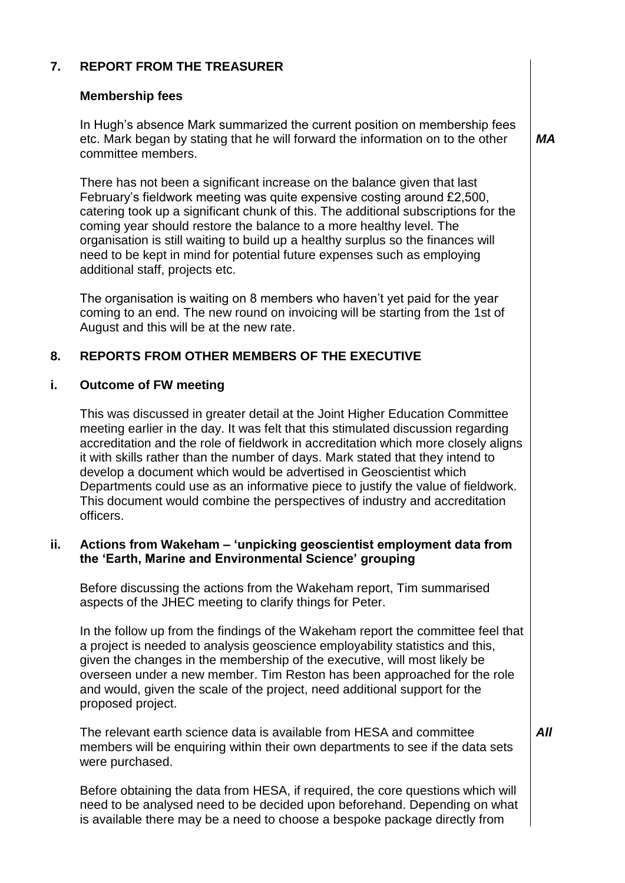### **7. REPORT FROM THE TREASURER**

#### **Membership fees**

In Hugh's absence Mark summarized the current position on membership fees etc. Mark began by stating that he will forward the information on to the other committee members.

*MA*

There has not been a significant increase on the balance given that last February's fieldwork meeting was quite expensive costing around £2,500, catering took up a significant chunk of this. The additional subscriptions for the coming year should restore the balance to a more healthy level. The organisation is still waiting to build up a healthy surplus so the finances will need to be kept in mind for potential future expenses such as employing additional staff, projects etc.

The organisation is waiting on 8 members who haven't yet paid for the year coming to an end. The new round on invoicing will be starting from the 1st of August and this will be at the new rate.

### **8. REPORTS FROM OTHER MEMBERS OF THE EXECUTIVE**

#### **i. Outcome of FW meeting**

This was discussed in greater detail at the Joint Higher Education Committee meeting earlier in the day. It was felt that this stimulated discussion regarding accreditation and the role of fieldwork in accreditation which more closely aligns it with skills rather than the number of days. Mark stated that they intend to develop a document which would be advertised in Geoscientist which Departments could use as an informative piece to justify the value of fieldwork. This document would combine the perspectives of industry and accreditation officers.

#### **ii. Actions from Wakeham – 'unpicking geoscientist employment data from the 'Earth, Marine and Environmental Science' grouping**

Before discussing the actions from the Wakeham report, Tim summarised aspects of the JHEC meeting to clarify things for Peter.

In the follow up from the findings of the Wakeham report the committee feel that a project is needed to analysis geoscience employability statistics and this, given the changes in the membership of the executive, will most likely be overseen under a new member. Tim Reston has been approached for the role and would, given the scale of the project, need additional support for the proposed project.

The relevant earth science data is available from HESA and committee members will be enquiring within their own departments to see if the data sets were purchased.

Before obtaining the data from HESA, if required, the core questions which will need to be analysed need to be decided upon beforehand. Depending on what is available there may be a need to choose a bespoke package directly from

*All*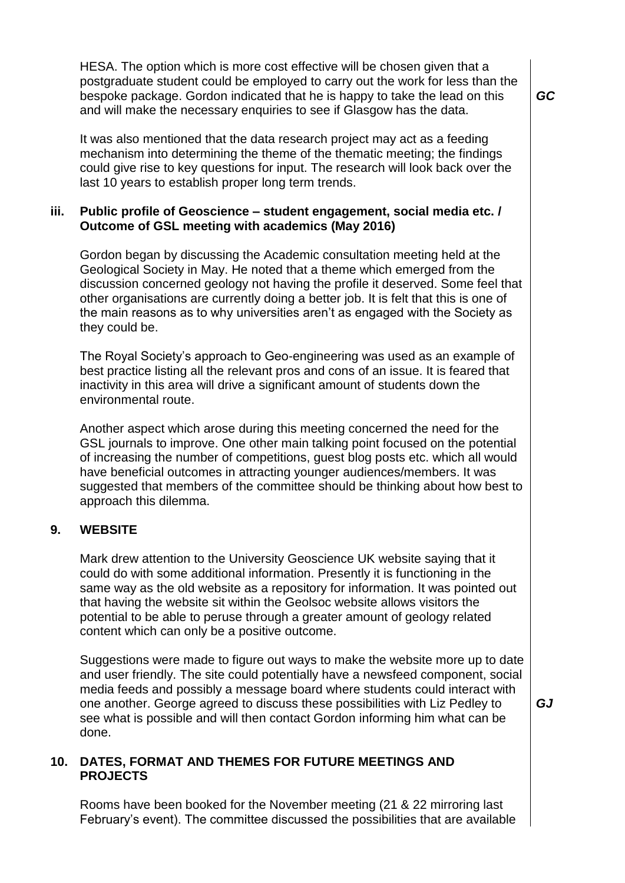HESA. The option which is more cost effective will be chosen given that a postgraduate student could be employed to carry out the work for less than the bespoke package. Gordon indicated that he is happy to take the lead on this and will make the necessary enquiries to see if Glasgow has the data.

It was also mentioned that the data research project may act as a feeding mechanism into determining the theme of the thematic meeting; the findings could give rise to key questions for input. The research will look back over the last 10 years to establish proper long term trends.

#### **iii. Public profile of Geoscience – student engagement, social media etc. / Outcome of GSL meeting with academics (May 2016)**

Gordon began by discussing the Academic consultation meeting held at the Geological Society in May. He noted that a theme which emerged from the discussion concerned geology not having the profile it deserved. Some feel that other organisations are currently doing a better job. It is felt that this is one of the main reasons as to why universities aren't as engaged with the Society as they could be.

The Royal Society's approach to Geo-engineering was used as an example of best practice listing all the relevant pros and cons of an issue. It is feared that inactivity in this area will drive a significant amount of students down the environmental route.

Another aspect which arose during this meeting concerned the need for the GSL journals to improve. One other main talking point focused on the potential of increasing the number of competitions, guest blog posts etc. which all would have beneficial outcomes in attracting younger audiences/members. It was suggested that members of the committee should be thinking about how best to approach this dilemma.

#### **9. WEBSITE**

Mark drew attention to the University Geoscience UK website saying that it could do with some additional information. Presently it is functioning in the same way as the old website as a repository for information. It was pointed out that having the website sit within the Geolsoc website allows visitors the potential to be able to peruse through a greater amount of geology related content which can only be a positive outcome.

Suggestions were made to figure out ways to make the website more up to date and user friendly. The site could potentially have a newsfeed component, social media feeds and possibly a message board where students could interact with one another. George agreed to discuss these possibilities with Liz Pedley to see what is possible and will then contact Gordon informing him what can be done.

*GJ*

### **10. DATES, FORMAT AND THEMES FOR FUTURE MEETINGS AND PROJECTS**

Rooms have been booked for the November meeting (21 & 22 mirroring last February's event). The committee discussed the possibilities that are available *GC*